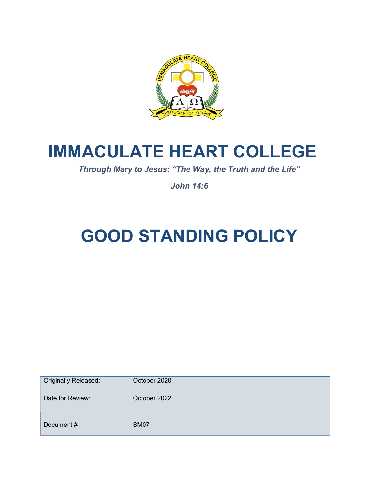

# IMMACULATE HEART COLLEGE

Through Mary to Jesus: "The Way, the Truth and the Life"

John 14:6

# GOOD STANDING POLICY

| <b>Originally Released:</b> | October 2020 |
|-----------------------------|--------------|
| Date for Review:            | October 2022 |
| Document#                   | <b>SM07</b>  |
|                             |              |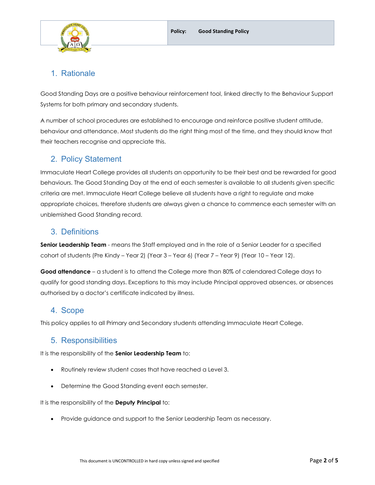

# 1. Rationale

Good Standing Days are a positive behaviour reinforcement tool, linked directly to the Behaviour Support Systems for both primary and secondary students.

A number of school procedures are established to encourage and reinforce positive student attitude, behaviour and attendance. Most students do the right thing most of the time, and they should know that their teachers recognise and appreciate this.

## 2. Policy Statement

Immaculate Heart College provides all students an opportunity to be their best and be rewarded for good behaviours. The Good Standing Day at the end of each semester is available to all students given specific criteria are met. Immaculate Heart College believe all students have a right to regulate and make appropriate choices, therefore students are always given a chance to commence each semester with an unblemished Good Standing record.

#### 3. Definitions

Senior Leadership Team - means the Staff employed and in the role of a Senior Leader for a specified cohort of students (Pre Kindy – Year 2) (Year 3 – Year 6) (Year 7 – Year 9) (Year 10 – Year 12).

Good attendance – a student is to attend the College more than 80% of calendared College days to qualify for good standing days. Exceptions to this may include Principal approved absences, or absences authorised by a doctor's certificate indicated by illness.

## 4. Scope

This policy applies to all Primary and Secondary students attending Immaculate Heart College.

## 5. Responsibilities

It is the responsibility of the Senior Leadership Team to:

- Routinely review student cases that have reached a Level 3.
- Determine the Good Standing event each semester.

It is the responsibility of the **Deputy Principal** to:

Provide guidance and support to the Senior Leadership Team as necessary.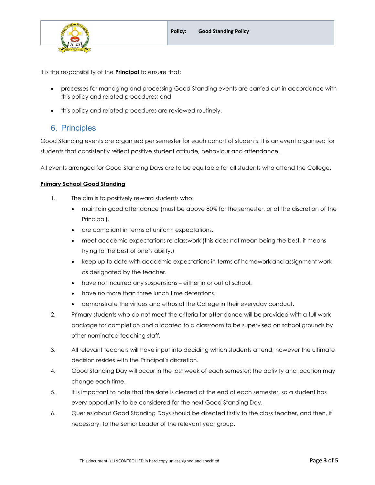

It is the responsibility of the **Principal** to ensure that:

- processes for managing and processing Good Standing events are carried out in accordance with this policy and related procedures; and
- $\bullet$  this policy and related procedures are reviewed routinely.

#### 6. Principles

Good Standing events are organised per semester for each cohort of students. It is an event organised for students that consistently reflect positive student attitude, behaviour and attendance.

All events arranged for Good Standing Days are to be equitable for all students who attend the College.

#### Primary School Good Standing

- 1. The aim is to positively reward students who:
	- maintain good attendance (must be above 80% for the semester, or at the discretion of the Principal).
	- are compliant in terms of uniform expectations.
	- meet academic expectations re classwork (this does not mean being the best, it means trying to the best of one's ability.)
	- keep up to date with academic expectations in terms of homework and assignment work as designated by the teacher.
	- have not incurred any suspensions either in or out of school.
	- have no more than three lunch time detentions.
	- demonstrate the virtues and ethos of the College in their everyday conduct.
- 2. Primary students who do not meet the criteria for attendance will be provided with a full work package for completion and allocated to a classroom to be supervised on school grounds by other nominated teaching staff.
- 3. All relevant teachers will have input into deciding which students attend, however the ultimate decision resides with the Principal's discretion.
- 4. Good Standing Day will occur in the last week of each semester; the activity and location may change each time.
- 5. It is important to note that the slate is cleared at the end of each semester, so a student has every opportunity to be considered for the next Good Standing Day.
- 6. Queries about Good Standing Days should be directed firstly to the class teacher, and then, if necessary, to the Senior Leader of the relevant year group.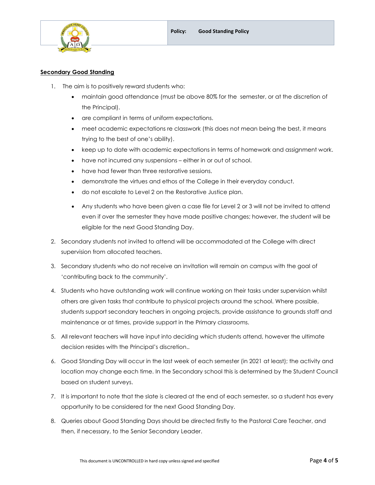

#### **Secondary Good Standing**

- 1. The aim is to positively reward students who:
	- maintain good attendance (must be above 80% for the semester, or at the discretion of the Principal).
	- are compliant in terms of uniform expectations.
	- meet academic expectations re classwork (this does not mean being the best, it means trying to the best of one's ability).
	- keep up to date with academic expectations in terms of homework and assignment work.
	- have not incurred any suspensions either in or out of school.
	- have had fewer than three restorative sessions.
	- demonstrate the virtues and ethos of the College in their everyday conduct.
	- do not escalate to Level 2 on the Restorative Justice plan.
	- Any students who have been given a case file for Level 2 or 3 will not be invited to attend even if over the semester they have made positive changes; however, the student will be eligible for the next Good Standing Day.
- 2. Secondary students not invited to attend will be accommodated at the College with direct supervision from allocated teachers.
- 3. Secondary students who do not receive an invitation will remain on campus with the goal of 'contributing back to the community'.
- 4. Students who have outstanding work will continue working on their tasks under supervision whilst others are given tasks that contribute to physical projects around the school. Where possible, students support secondary teachers in ongoing projects, provide assistance to grounds staff and maintenance or at times, provide support in the Primary classrooms.
- 5. All relevant teachers will have input into deciding which students attend, however the ultimate decision resides with the Principal's discretion..
- 6. Good Standing Day will occur in the last week of each semester (in 2021 at least); the activity and location may change each time. In the Secondary school this is determined by the Student Council based on student surveys.
- 7. It is important to note that the slate is cleared at the end of each semester, so a student has every opportunity to be considered for the next Good Standing Day.
- 8. Queries about Good Standing Days should be directed firstly to the Pastoral Care Teacher, and then, if necessary, to the Senior Secondary Leader.